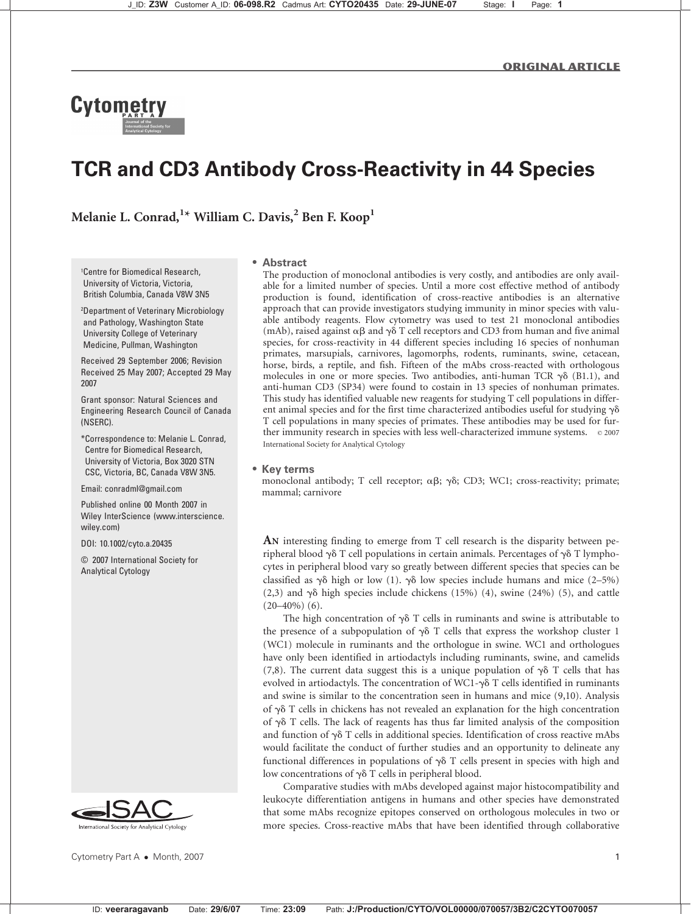Original Article

# **Cytometr**

# TCR and CD3 Antibody Cross-Reactivity in 44 Species

Melanie L. Conrad, $^{1\star}$  William C. Davis, $^{2}$  Ben F. Koop $^{1}$ 

1 Centre for Biomedical Research, University of Victoria, Victoria, British Columbia, Canada V8W 3N5

2 Department of Veterinary Microbiology and Pathology, Washington State University College of Veterinary Medicine, Pullman, Washington

Received 29 September 2006; Revision Received 25 May 2007; Accepted 29 May 2007

Grant sponsor: Natural Sciences and Engineering Research Council of Canada (NSERC).

\*Correspondence to: Melanie L. Conrad, Centre for Biomedical Research, University of Victoria, Box 3020 STN CSC, Victoria, BC, Canada V8W 3N5.

Email: conradml@gmail.com

Published online 00 Month 2007 in Wiley InterScience (www.interscience. wiley.com)

DOI: 10.1002/cyto.a.20435

© 2007 International Society for Analytical Cytology



Cytometry Part A • Month, 2007 1

#### Abstract

The production of monoclonal antibodies is very costly, and antibodies are only available for a limited number of species. Until a more cost effective method of antibody production is found, identification of cross-reactive antibodies is an alternative approach that can provide investigators studying immunity in minor species with valuable antibody reagents. Flow cytometry was used to test 21 monoclonal antibodies (mAb), raised against  $\alpha\beta$  and  $\gamma\delta$  T cell receptors and CD3 from human and five animal species, for cross-reactivity in 44 different species including 16 species of nonhuman primates, marsupials, carnivores, lagomorphs, rodents, ruminants, swine, cetacean, horse, birds, a reptile, and fish. Fifteen of the mAbs cross-reacted with orthologous molecules in one or more species. Two antibodies, anti-human TCR  $\gamma\delta$  (B1.1), and anti-human CD3 (SP34) were found to costain in 13 species of nonhuman primates. This study has identified valuable new reagents for studying T cell populations in different animal species and for the first time characterized antibodies useful for studying  $\gamma\delta$ T cell populations in many species of primates. These antibodies may be used for further immunity research in species with less well-characterized immune systems.  $\circ$  2007 International Society for Analytical Cytology

## Key terms

monoclonal antibody; T cell receptor;  $\alpha\beta$ ;  $\gamma\delta$ ; CD3; WC1; cross-reactivity; primate; mammal; carnivore

AN interesting finding to emerge from T cell research is the disparity between peripheral blood  $\gamma\delta$  T cell populations in certain animals. Percentages of  $\gamma\delta$  T lymphocytes in peripheral blood vary so greatly between different species that species can be classified as  $\gamma\delta$  high or low (1).  $\gamma\delta$  low species include humans and mice (2–5%) (2,3) and  $\gamma\delta$  high species include chickens (15%) (4), swine (24%) (5), and cattle  $(20-40\%)$  (6).

The high concentration of  $\gamma\delta$  T cells in ruminants and swine is attributable to the presence of a subpopulation of  $\gamma\delta$  T cells that express the workshop cluster 1 (WC1) molecule in ruminants and the orthologue in swine. WC1 and orthologues have only been identified in artiodactyls including ruminants, swine, and camelids (7,8). The current data suggest this is a unique population of  $\gamma\delta$  T cells that has evolved in artiodactyls. The concentration of WC1- $\gamma$  $\delta$  T cells identified in ruminants and swine is similar to the concentration seen in humans and mice (9,10). Analysis of  $\gamma\delta$  T cells in chickens has not revealed an explanation for the high concentration of  $\gamma\delta$  T cells. The lack of reagents has thus far limited analysis of the composition and function of  $\gamma\delta$  T cells in additional species. Identification of cross reactive mAbs would facilitate the conduct of further studies and an opportunity to delineate any functional differences in populations of  $\gamma\delta$  T cells present in species with high and low concentrations of  $\gamma\delta$  T cells in peripheral blood.

Comparative studies with mAbs developed against major histocompatibility and leukocyte differentiation antigens in humans and other species have demonstrated that some mAbs recognize epitopes conserved on orthologous molecules in two or more species. Cross-reactive mAbs that have been identified through collaborative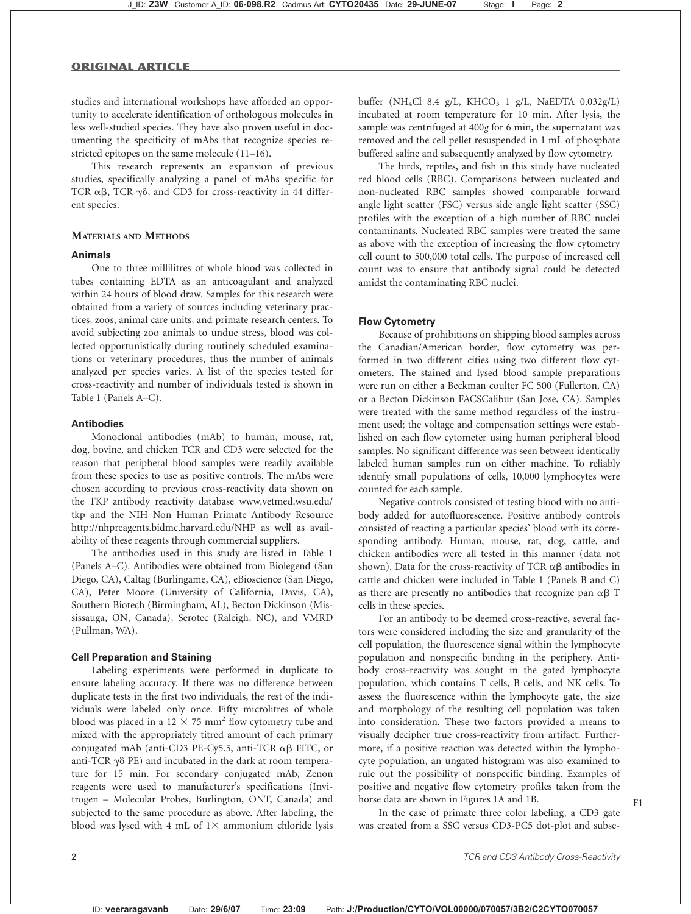studies and international workshops have afforded an opportunity to accelerate identification of orthologous molecules in less well-studied species. They have also proven useful in documenting the specificity of mAbs that recognize species restricted epitopes on the same molecule (11–16).

This research represents an expansion of previous studies, specifically analyzing a panel of mAbs specific for TCR  $\alpha\beta$ , TCR  $\gamma\delta$ , and CD3 for cross-reactivity in 44 different species.

# MATERIALS AND METHODS

#### Animals

One to three millilitres of whole blood was collected in tubes containing EDTA as an anticoagulant and analyzed within 24 hours of blood draw. Samples for this research were obtained from a variety of sources including veterinary practices, zoos, animal care units, and primate research centers. To avoid subjecting zoo animals to undue stress, blood was collected opportunistically during routinely scheduled examinations or veterinary procedures, thus the number of animals analyzed per species varies. A list of the species tested for cross-reactivity and number of individuals tested is shown in Table 1 (Panels A–C).

#### Antibodies

Monoclonal antibodies (mAb) to human, mouse, rat, dog, bovine, and chicken TCR and CD3 were selected for the reason that peripheral blood samples were readily available from these species to use as positive controls. The mAbs were chosen according to previous cross-reactivity data shown on the TKP antibody reactivity database www.vetmed.wsu.edu/ tkp and the NIH Non Human Primate Antibody Resource http://nhpreagents.bidmc.harvard.edu/NHP as well as availability of these reagents through commercial suppliers.

The antibodies used in this study are listed in Table 1 (Panels A–C). Antibodies were obtained from Biolegend (San Diego, CA), Caltag (Burlingame, CA), eBioscience (San Diego, CA), Peter Moore (University of California, Davis, CA), Southern Biotech (Birmingham, AL), Becton Dickinson (Mississauga, ON, Canada), Serotec (Raleigh, NC), and VMRD (Pullman, WA).

#### Cell Preparation and Staining

Labeling experiments were performed in duplicate to ensure labeling accuracy. If there was no difference between duplicate tests in the first two individuals, the rest of the individuals were labeled only once. Fifty microlitres of whole blood was placed in a  $12 \times 75$  mm<sup>2</sup> flow cytometry tube and mixed with the appropriately titred amount of each primary conjugated mAb (anti-CD3 PE-Cy5.5, anti-TCR  $\alpha\beta$  FITC, or anti-TCR  $\gamma\delta$  PE) and incubated in the dark at room temperature for 15 min. For secondary conjugated mAb, Zenon reagents were used to manufacturer's specifications (Invitrogen – Molecular Probes, Burlington, ONT, Canada) and subjected to the same procedure as above. After labeling, the blood was lysed with 4 mL of  $1\times$  ammonium chloride lysis buffer (NH<sub>4</sub>Cl 8.4 g/L, KHCO<sub>3</sub> 1 g/L, NaEDTA  $0.032g/L$ ) incubated at room temperature for 10 min. After lysis, the sample was centrifuged at 400g for 6 min, the supernatant was removed and the cell pellet resuspended in 1 mL of phosphate buffered saline and subsequently analyzed by flow cytometry.

The birds, reptiles, and fish in this study have nucleated red blood cells (RBC). Comparisons between nucleated and non-nucleated RBC samples showed comparable forward angle light scatter (FSC) versus side angle light scatter (SSC) profiles with the exception of a high number of RBC nuclei contaminants. Nucleated RBC samples were treated the same as above with the exception of increasing the flow cytometry cell count to 500,000 total cells. The purpose of increased cell count was to ensure that antibody signal could be detected amidst the contaminating RBC nuclei.

#### Flow Cytometry

Because of prohibitions on shipping blood samples across the Canadian/American border, flow cytometry was performed in two different cities using two different flow cytometers. The stained and lysed blood sample preparations were run on either a Beckman coulter FC 500 (Fullerton, CA) or a Becton Dickinson FACSCalibur (San Jose, CA). Samples were treated with the same method regardless of the instrument used; the voltage and compensation settings were established on each flow cytometer using human peripheral blood samples. No significant difference was seen between identically labeled human samples run on either machine. To reliably identify small populations of cells, 10,000 lymphocytes were counted for each sample.

Negative controls consisted of testing blood with no antibody added for autofluorescence. Positive antibody controls consisted of reacting a particular species' blood with its corresponding antibody. Human, mouse, rat, dog, cattle, and chicken antibodies were all tested in this manner (data not shown). Data for the cross-reactivity of TCR  $\alpha\beta$  antibodies in cattle and chicken were included in Table 1 (Panels B and C) as there are presently no antibodies that recognize pan  $\alpha\beta$  T cells in these species.

For an antibody to be deemed cross-reactive, several factors were considered including the size and granularity of the cell population, the fluorescence signal within the lymphocyte population and nonspecific binding in the periphery. Antibody cross-reactivity was sought in the gated lymphocyte population, which contains T cells, B cells, and NK cells. To assess the fluorescence within the lymphocyte gate, the size and morphology of the resulting cell population was taken into consideration. These two factors provided a means to visually decipher true cross-reactivity from artifact. Furthermore, if a positive reaction was detected within the lymphocyte population, an ungated histogram was also examined to rule out the possibility of nonspecific binding. Examples of positive and negative flow cytometry profiles taken from the horse data are shown in Figures 1A and 1B. F1

In the case of primate three color labeling, a CD3 gate was created from a SSC versus CD3-PC5 dot-plot and subse-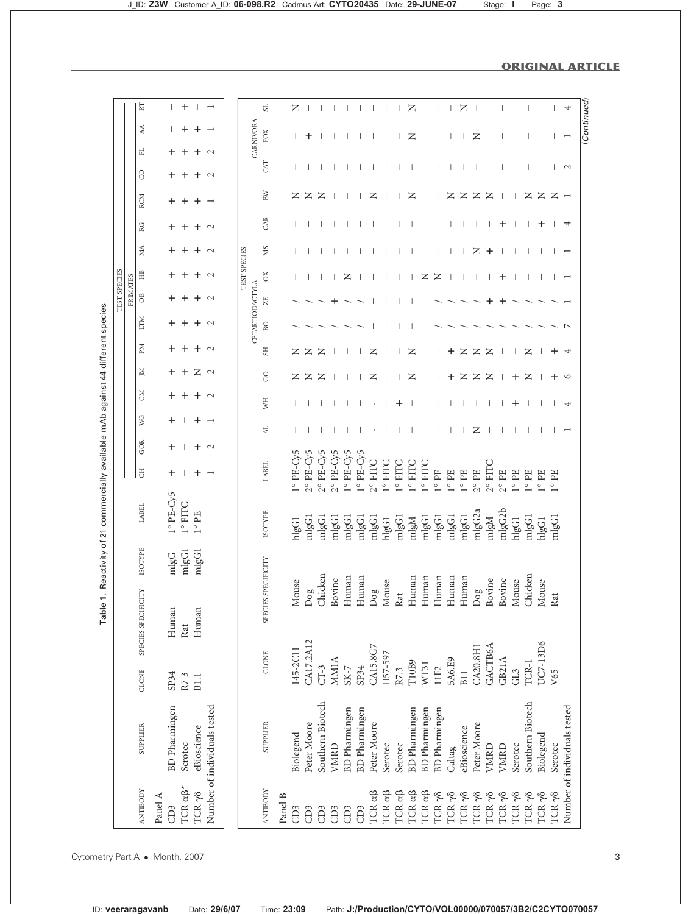|                                 | ⊠                   | $\mathbf{L}$         | +                   |                |                              |              | ದ                                 |         | z                  |                    |                    |                    |                    |                    |                    |                    |                      | z                  |                           |                       |              | z              |                |                 |                          |                |                  |                |                     | 4                            |
|---------------------------------|---------------------|----------------------|---------------------|----------------|------------------------------|--------------|-----------------------------------|---------|--------------------|--------------------|--------------------|--------------------|--------------------|--------------------|--------------------|--------------------|----------------------|--------------------|---------------------------|-----------------------|--------------|----------------|----------------|-----------------|--------------------------|----------------|------------------|----------------|---------------------|------------------------------|
|                                 | Á                   |                      |                     |                |                              |              | CARNIVORA<br>FOX                  |         |                    | ┿                  |                    |                    |                    |                    |                    |                    |                      | z                  | $\overline{\phantom{a}}$  |                       | $\mathbf{I}$ | Τ.             | z              |                 |                          |                | I                |                |                     |                              |
|                                 | 리                   | ┿                    |                     | +              | $\sim$                       |              | <b>CAT</b>                        |         |                    |                    |                    |                    |                    |                    |                    |                    |                      |                    |                           | H                     |              |                | $\overline{1}$ |                 | $\overline{\phantom{a}}$ |                | $\overline{1}$   |                |                     | $\mathbf{\sim}$              |
|                                 | $\rm{C}$            |                      |                     |                | $\sim$                       |              | BW                                |         | z                  | z                  | Z                  |                    |                    |                    | z                  |                    |                      | z                  |                           |                       | z            | z              | Z              | z               |                          |                | z                | Z              | $Z -$               |                              |
|                                 | <b>RCM</b>          |                      |                     |                |                              |              | CAR                               |         |                    |                    |                    |                    |                    |                    |                    |                    |                      |                    |                           |                       |              |                |                |                 | ╅                        |                |                  |                |                     | 4                            |
|                                 | RG<br>ЙŅ            | +<br>+               |                     | +<br>+         | $\sim$<br>$\sim$             |              | <b>NS</b>                         |         |                    |                    |                    |                    |                    |                    |                    |                    |                      |                    |                           |                       |              |                | z              |                 |                          |                |                  |                |                     |                              |
|                                 | HB                  | ┿                    |                     | +              | $\sim$                       | TEST SPECIES | ð                                 |         |                    |                    |                    |                    | z                  |                    |                    |                    |                      |                    | z                         | z                     |              |                |                | +               | ╅                        |                |                  |                |                     |                              |
| TEST SPECIES<br><b>PRIMATES</b> | $\overline{O}$      |                      |                     | ┿              | $\sim$                       |              | $\overline{\rm Z}$                |         |                    |                    |                    |                    |                    |                    |                    |                    |                      |                    |                           |                       |              |                |                |                 |                          |                |                  |                |                     |                              |
|                                 | IЩ                  |                      |                     | ┿              | $\sim$                       |              | CETARTIODACTYLA<br>B <sub>O</sub> |         |                    |                    |                    |                    |                    |                    |                    |                    |                      |                    |                           |                       |              |                |                |                 |                          |                |                  |                |                     |                              |
|                                 | ЫĀ                  | +                    |                     | +              | $\sim$                       |              | $_{\rm SI}$                       |         | z                  | z                  | $\mathsf{z}$       |                    |                    |                    | z                  |                    |                      | z                  |                           |                       | ┿            | z              | $\mathsf{z}$   | z               |                          |                | z                |                |                     |                              |
|                                 | Σ                   | +                    |                     | $Z \sim$       |                              |              | GO                                |         | z                  | z                  | Z                  |                    |                    |                    | z                  |                    |                      | z                  |                           |                       | ┿            | z              | Z              | z               |                          | ┿              | z                |                |                     | $\circ$                      |
|                                 | Š                   | +                    | +                   | $\ddot{}$      | $\sim$                       |              | ÎМ                                |         |                    |                    |                    |                    |                    |                    |                    |                    |                      |                    |                           |                       |              |                |                |                 |                          | ┿              |                  |                |                     | ↤                            |
|                                 | УG                  | +                    |                     | $\ddot{}$      | $\overline{\phantom{0}}$     |              | 뉙                                 |         |                    |                    |                    |                    |                    |                    |                    |                    |                      |                    |                           |                       |              |                | z              |                 |                          |                |                  |                |                     |                              |
|                                 | GOR                 | +                    |                     | $\ddot{}$      | $\sim$                       |              |                                   |         |                    |                    |                    |                    |                    |                    |                    |                    |                      |                    |                           |                       |              |                |                |                 |                          |                |                  |                |                     |                              |
|                                 | $\overline{\rm d}$  | +                    |                     |                |                              |              | LABEL                             |         | $1^{\circ}$ PE-Cy5 | $2^{\circ}$ PE-Cy5 | $2^{\circ}$ PE-Cy5 | $2^{\circ}$ PE-Cy5 | $1^{\circ}$ PE-Cy5 | $1^{\circ}$ PE-Cy5 | 2° FITC            | <b>DAHIL</b>       | 1° FITC              | 1° FITC            | <b>L</b> <sub>o</sub> HLC | $1^{\circ}$ PE        | $1^\circ$ PE | $1^{\circ}$ PE | $2^{\circ}$ PE | $2^{\circ}$ FIT | $2^{\circ}$ PE           | $1^{\circ}$ PE | $1^{\circ}$ PE   | $1^{\rm o}$ PE | EE<br>$\frac{1}{2}$ |                              |
|                                 | LABEL               | $1^{\circ}$ PE-Cy5   | $1^{\circ}$ FITC    | $1^{\circ}$ PE |                              |              | <b>ISOTYPE</b>                    |         | hlgG1              | mlgG1              | mlgG1              | mlgG1              | mlgG1              | mlgG1              | mlgG1              | hlgG1              | mlgG1                | mlgM               | mlgG1                     | mlgG1                 | mlgG1        | mlgG1          | mlgG2a         | mlgM            | mlgG2b                   | hlgG1          | mlgG1            | hlgG1          | mlgG1               |                              |
|                                 | <b>ISOTYPE</b>      | mlgG                 | mlgG1               | mlgG1          |                              |              |                                   |         |                    |                    |                    |                    |                    |                    |                    |                    |                      |                    |                           |                       |              |                |                |                 |                          |                |                  |                |                     |                              |
|                                 | SPECIES SPECIFICITY | Human                | Rat                 | Human          |                              |              | SPECIES SPECIFICITY               |         | Mouse              | Dog                | Chicken            | Bovine             | Human              | Human              | Dog                | Mouse              | $\operatorname{Rat}$ | Human              | Human                     | Human                 | Human        | Human          | Dog            | Bovine          | Bovine                   | Mouse          | Chicken          | Mouse          | Rat                 |                              |
|                                 | CLONE               | SP34                 | R73                 | B1.1           |                              |              | CLONE                             |         | 145-2C11           | CA17.2A12          | $CT-3$             | <b>MM1A</b>        | $S_{K-7}$          | SP34               | CA15.8G7           | H57-597            | R7.3                 | T10B9              | WT31                      | 11F2                  | 5A6.E9       | B11            | CA20.8H1       | <b>GACTB6A</b>  | GB21A                    | GL3            | TCR-1            | UC7-13D6       | V65                 |                              |
|                                 | SUPPLIER            | <b>BD</b> Pharmingen | Serotec             | eBioscience    | Number of individuals tested |              | SUPPLIER                          |         | Biolegend          | Peter Moore        | Southern Biotech   | VMRD               | BD Pharmingen      | BD Pharmingen      | Peter Moore        | Serotec            | Serotec              | BD Pharmingen      | BD Pharmingen             | BD Pharmingen         | Caltag       | eBioscience    | Peter Moore    | VMRD            | VMRD                     | Serotec        | Southern Biotech | Biolegend      | Serotec             | Number of individuals tested |
|                                 | <b>ANTIBODY</b>     | Panel A<br>CD3       | TCR $\alpha\beta^*$ | TCR yo         |                              |              | <b>ANTIBODY</b>                   | Panel B | CD <sub>3</sub>    | CD <sub>3</sub>    | CD3                | CD <sub>3</sub>    | CD3                | CD3                | TCR a <sub>B</sub> | TCR a <sub>B</sub> | TCR $\alpha\beta$    | TCR a <sub>B</sub> | TCR a <sub>B</sub>        | TCR $\gamma$ $\delta$ | TCR yo       | TCR yo         | TCR yo         | TCR yo          | TCR yo                   | TCR yo         | TCR yo           | TCR yo         | TCR yo              |                              |

Cytometry Part A • Month, 2007 3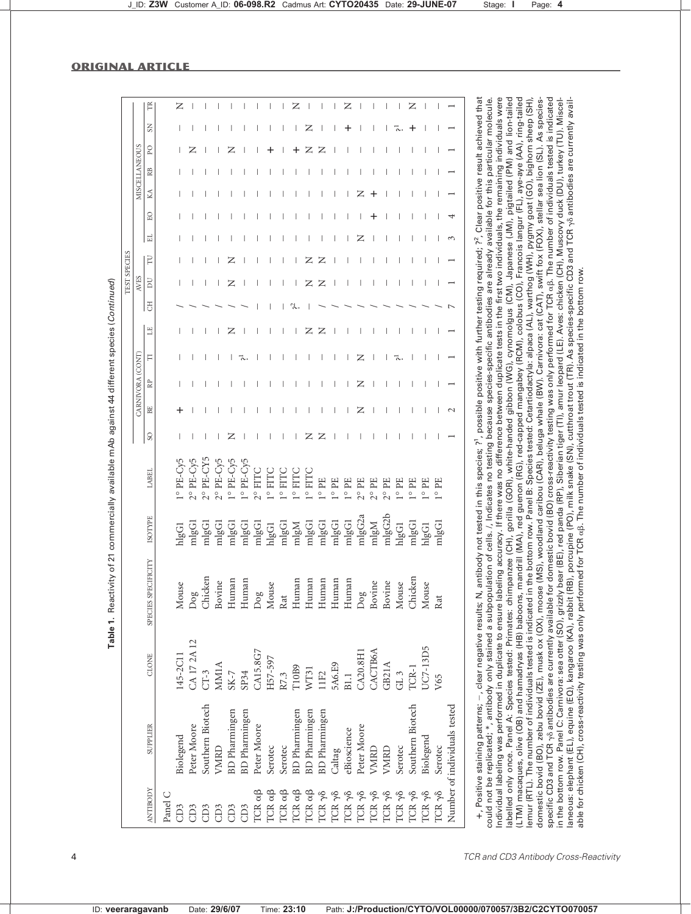|                    |                              |                 |                     |                |                    |                 |    |                 |   |   |                | TEST SPECIES   |   |     |           |   |                      |           |             |
|--------------------|------------------------------|-----------------|---------------------|----------------|--------------------|-----------------|----|-----------------|---|---|----------------|----------------|---|-----|-----------|---|----------------------|-----------|-------------|
|                    |                              |                 |                     |                |                    |                 |    | CARNIVORA (CONT |   |   |                | <b>AVES</b>    |   |     |           |   | <b>MISCELLANEOUS</b> |           |             |
| <b>ANTIBODY</b>    | SUPPLIER                     | CLONE           | SPECIES SPECIFICITY | <b>ISOTYPE</b> | LABEI              | SO <sub>1</sub> | BE | <b>RP</b>       | F | Е | $\overline{c}$ | $\overline{D}$ | F | l 표 | <b>BO</b> | K | RB                   | <b>PO</b> | $S_{\rm N}$ |
| Panel              |                              |                 |                     |                |                    |                 |    |                 |   |   |                |                |   |     |           |   |                      |           |             |
| CD <sub>3</sub>    | Biolegend                    | 145-2C11        | Mouse               | hlgG1          | 1° PE-Cy5          |                 |    |                 |   |   |                |                |   |     |           |   |                      |           |             |
| CD <sub>3</sub>    | Peter Moore                  | CA 17 2A 12     | $\log$              | $m$ lg $G1$    | 2° PE-Cy5          |                 |    |                 |   |   |                |                |   |     |           |   |                      |           |             |
| GD <sub>3</sub>    | Southern Biotech             | $CT-3$          | Chicken             | mlgG1          | $2^{\circ}$ PE-CY5 |                 |    |                 |   |   |                |                |   |     |           |   |                      |           |             |
| GD <sub>3</sub>    | VMRD                         | MM1A            | Bovine              | mlgG1          | $2^{\circ}$ PE-Cy5 |                 |    |                 |   |   |                |                |   |     |           |   |                      |           |             |
| GD <sub>3</sub>    | <b>BD</b> Pharmingen         | $S_{K-7}$       | Human               | mlgG1          | $1^{\circ}$ PE-Cy5 | z               |    |                 |   | z |                | z              |   |     |           |   |                      |           |             |
| CD <sub>3</sub>    | BD Pharmingen                | SP34            | Human               | mlgG1          | $1^{\circ}$ PE-Cy5 |                 |    |                 |   |   |                |                |   |     |           |   |                      |           |             |
| TCR a <sub>B</sub> | Peter Moore                  | CA15.8G7        | $_{\text{Dog}}$     | mlgG1          | 2° FITC            |                 |    |                 |   |   |                |                |   |     |           |   |                      |           |             |
| TCR a <sub>B</sub> | Serotec                      | H57-597         | Mouse               | hlgG1          | 1° FITC            |                 |    |                 |   |   |                |                |   |     |           |   |                      |           |             |
| TCR a <sub>B</sub> | Serotec                      | R7.3            | Rat                 | mlgG1          | $1^{\circ}$ FIT    |                 |    |                 |   |   |                |                |   |     |           |   |                      |           |             |
| TCR a <sub>B</sub> | BD Pharmingen                | T10B9           | Human               | mlgM           | $1^{\circ}$ FIT    |                 |    |                 |   |   |                |                |   |     |           |   |                      |           |             |
| TCR a <sub>B</sub> | <b>BD</b> Pharmingen         | WT31            | Human               | mlgG1          | $1^\circ$ FIT      | z               |    |                 |   | z |                |                |   |     |           |   |                      |           | z           |
| TCR y <sub>8</sub> | BD Pharmingen                | 11F2            | Human               | mlgG1          | $l^{\circ}$ PE     | z               |    |                 |   | z |                |                |   |     |           |   |                      |           |             |
| TCR yo             | Caltag                       | 5A6.E9          | Human               | mlgG1          | $1^\circ$ PE       |                 |    |                 |   |   |                |                |   |     |           |   |                      |           |             |
| TCR y <sub>8</sub> | eBioscience                  | B1.1            | Human               | mlgG1          | $1^{\circ}$ PE     |                 |    |                 |   |   |                |                |   |     |           |   |                      |           |             |
| TCR y <sub>8</sub> | Peter Moore                  | CA20.8H1        | $\log$              | mlgG2a         | $2^{\circ}$ PE     |                 | ∠  | z               | Z |   |                |                |   |     |           |   |                      |           |             |
| TCR y <sub>8</sub> | VMRD                         | CACTB6A         | Bovine              | mlgM           | $2^{\circ}$ PE     |                 |    |                 |   |   |                |                |   |     |           |   |                      |           |             |
| TCR y <sub>8</sub> | VMRD                         | GB21A           | Bovine              | mlgG2b         | $2^{\circ}$ PE     |                 |    |                 |   |   |                |                |   |     |           |   |                      |           |             |
| TCR yo             | Serotec                      | GL <sub>3</sub> | Mouse               | hlgG1          | $1^\circ$ PE       |                 |    |                 |   |   |                |                |   |     |           |   |                      |           |             |
| TCR yo             | Southern Biotech             | TCR-1           | Chicken             | mlgG1          | $1^{\circ}$ PE     |                 |    |                 |   |   |                |                |   |     |           |   |                      |           |             |
| TCR y <sub>8</sub> | Biolegend                    | UC7-13D5        | Mouse               | hlgG1          | $1^\circ$ PE       |                 |    |                 |   |   |                |                |   |     |           |   |                      |           |             |
| TCR yo             | Serotec                      | V65             | Rat                 | mlgG1          | $1^\circ$ PE       |                 |    |                 |   |   |                |                |   |     |           |   |                      |           |             |
|                    | Number of individuals tested |                 |                     |                |                    |                 |    |                 |   |   |                |                |   |     |           |   |                      |           |             |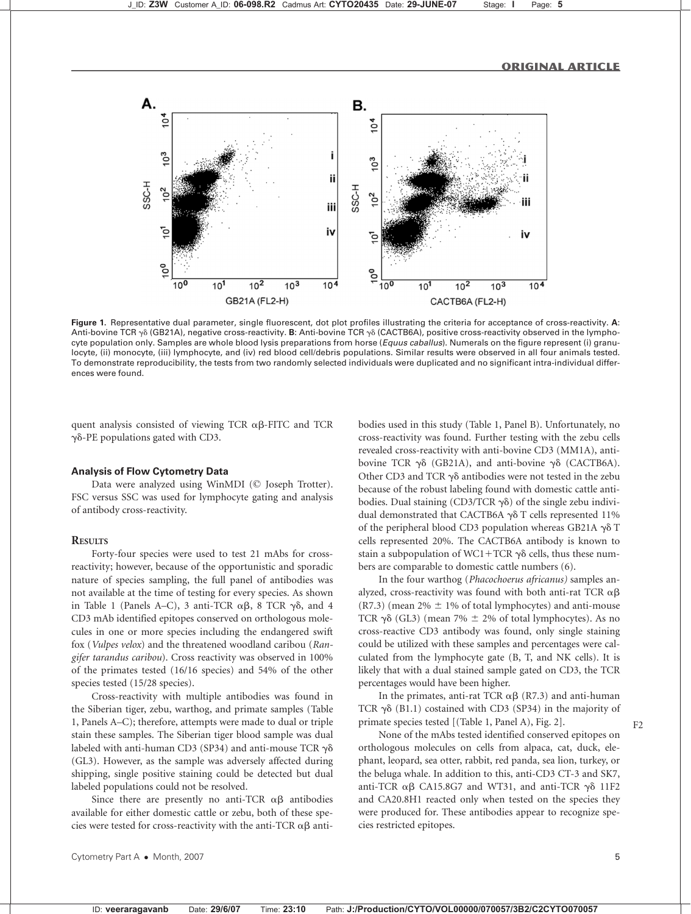

Figure 1. Representative dual parameter, single fluorescent, dot plot profiles illustrating the criteria for acceptance of cross-reactivity. A: Anti-bovine TCR  $\gamma\delta$  (GB21A), negative cross-reactivity. B: Anti-bovine TCR  $\gamma\delta$  (CACTB6A), positive cross-reactivity observed in the lymphocyte population only. Samples are whole blood lysis preparations from horse (Equus caballus). Numerals on the figure represent (i) granulocyte, (ii) monocyte, (iii) lymphocyte, and (iv) red blood cell/debris populations. Similar results were observed in all four animals tested. To demonstrate reproducibility, the tests from two randomly selected individuals were duplicated and no significant intra-individual differences were found.

quent analysis consisted of viewing TCR  $\alpha\beta$ -FITC and TCR  $\gamma\delta$ -PE populations gated with CD3.

#### Analysis of Flow Cytometry Data

Data were analyzed using WinMDI (© Joseph Trotter). FSC versus SSC was used for lymphocyte gating and analysis of antibody cross-reactivity.

# **RESULTS**

Forty-four species were used to test 21 mAbs for crossreactivity; however, because of the opportunistic and sporadic nature of species sampling, the full panel of antibodies was not available at the time of testing for every species. As shown in Table 1 (Panels A–C), 3 anti-TCR  $\alpha\beta$ , 8 TCR  $\gamma\delta$ , and 4 CD3 mAb identified epitopes conserved on orthologous molecules in one or more species including the endangered swift fox (Vulpes velox) and the threatened woodland caribou (Rangifer tarandus caribou). Cross reactivity was observed in 100% of the primates tested (16/16 species) and 54% of the other species tested (15/28 species).

Cross-reactivity with multiple antibodies was found in the Siberian tiger, zebu, warthog, and primate samples (Table 1, Panels A–C); therefore, attempts were made to dual or triple stain these samples. The Siberian tiger blood sample was dual labeled with anti-human CD3 (SP34) and anti-mouse TCR  $\gamma\delta$ (GL3). However, as the sample was adversely affected during shipping, single positive staining could be detected but dual labeled populations could not be resolved.

Since there are presently no anti-TCR  $\alpha\beta$  antibodies available for either domestic cattle or zebu, both of these species were tested for cross-reactivity with the anti-TCR  $\alpha\beta$  antibodies used in this study (Table 1, Panel B). Unfortunately, no cross-reactivity was found. Further testing with the zebu cells revealed cross-reactivity with anti-bovine CD3 (MM1A), antibovine TCR  $\gamma\delta$  (GB21A), and anti-bovine  $\gamma\delta$  (CACTB6A). Other CD3 and TCR  $\gamma\delta$  antibodies were not tested in the zebu because of the robust labeling found with domestic cattle antibodies. Dual staining (CD3/TCR  $\gamma\delta$ ) of the single zebu individual demonstrated that CACTB6A  $\gamma\delta$  T cells represented 11% of the peripheral blood CD3 population whereas GB21A  $\gamma\delta$  T cells represented 20%. The CACTB6A antibody is known to stain a subpopulation of WC1+TCR  $\gamma\delta$  cells, thus these numbers are comparable to domestic cattle numbers (6).

In the four warthog (Phacochoerus africanus) samples analyzed, cross-reactivity was found with both anti-rat TCR  $\alpha\beta$  $(R7.3)$  (mean 2%  $\pm$  1% of total lymphocytes) and anti-mouse TCR  $\gamma\delta$  (GL3) (mean 7%  $\pm$  2% of total lymphocytes). As no cross-reactive CD3 antibody was found, only single staining could be utilized with these samples and percentages were calculated from the lymphocyte gate (B, T, and NK cells). It is likely that with a dual stained sample gated on CD3, the TCR percentages would have been higher.

In the primates, anti-rat TCR  $\alpha\beta$  (R7.3) and anti-human TCR  $\gamma\delta$  (B1.1) costained with CD3 (SP34) in the majority of primate species tested [(Table 1, Panel A), Fig. 2]. F2

None of the mAbs tested identified conserved epitopes on orthologous molecules on cells from alpaca, cat, duck, elephant, leopard, sea otter, rabbit, red panda, sea lion, turkey, or the beluga whale. In addition to this, anti-CD3 CT-3 and SK7, anti-TCR  $\alpha\beta$  CA15.8G7 and WT31, and anti-TCR  $\gamma\delta$  11F2 and CA20.8H1 reacted only when tested on the species they were produced for. These antibodies appear to recognize species restricted epitopes.

Cytometry Part A • Month, 2007 5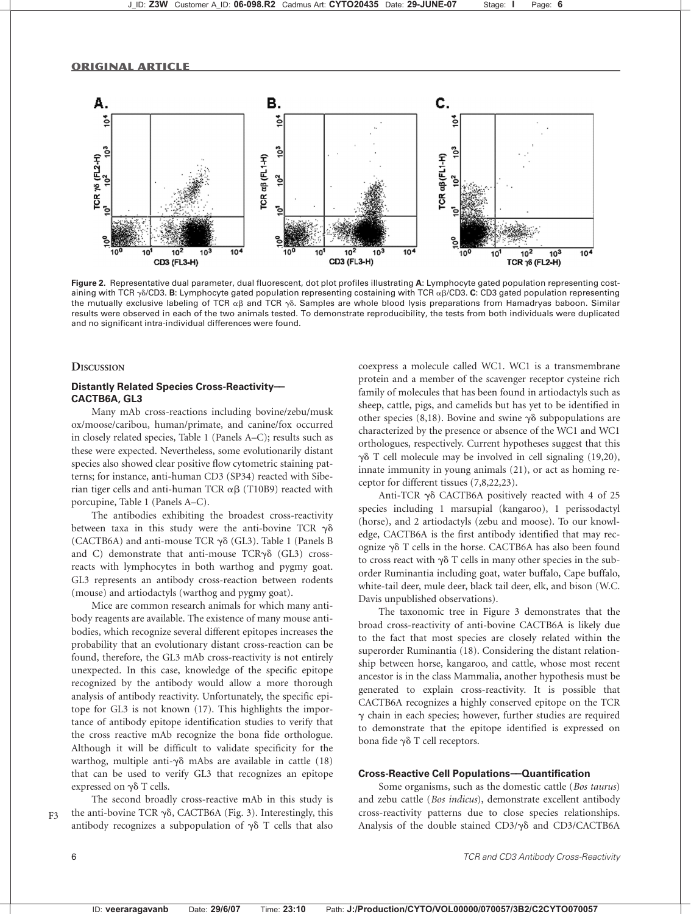

Figure 2. Representative dual parameter, dual fluorescent, dot plot profiles illustrating A: Lymphocyte gated population representing costaining with TCR  $\gamma\delta$ /CD3. B: Lymphocyte gated population representing costaining with TCR  $\alpha\beta$ /CD3. C: CD3 gated population representing the mutually exclusive labeling of TCR  $\alpha\beta$  and TCR  $\gamma\delta$ . Samples are whole blood lysis preparations from Hamadryas baboon. Similar results were observed in each of the two animals tested. To demonstrate reproducibility, the tests from both individuals were duplicated and no significant intra-individual differences were found.

#### **DISCUSSION**

## Distantly Related Species Cross-Reactivity-CACTB6A, GL3

Many mAb cross-reactions including bovine/zebu/musk ox/moose/caribou, human/primate, and canine/fox occurred in closely related species, Table 1 (Panels A–C); results such as these were expected. Nevertheless, some evolutionarily distant species also showed clear positive flow cytometric staining patterns; for instance, anti-human CD3 (SP34) reacted with Siberian tiger cells and anti-human TCR  $\alpha\beta$  (T10B9) reacted with porcupine, Table 1 (Panels A–C).

The antibodies exhibiting the broadest cross-reactivity between taxa in this study were the anti-bovine TCR  $\gamma\delta$ (CACTB6A) and anti-mouse TCR  $\gamma\delta$  (GL3). Table 1 (Panels B and C) demonstrate that anti-mouse  $TCR\gamma\delta$  (GL3) crossreacts with lymphocytes in both warthog and pygmy goat. GL3 represents an antibody cross-reaction between rodents (mouse) and artiodactyls (warthog and pygmy goat).

Mice are common research animals for which many antibody reagents are available. The existence of many mouse antibodies, which recognize several different epitopes increases the probability that an evolutionary distant cross-reaction can be found, therefore, the GL3 mAb cross-reactivity is not entirely unexpected. In this case, knowledge of the specific epitope recognized by the antibody would allow a more thorough analysis of antibody reactivity. Unfortunately, the specific epitope for GL3 is not known (17). This highlights the importance of antibody epitope identification studies to verify that the cross reactive mAb recognize the bona fide orthologue. Although it will be difficult to validate specificity for the warthog, multiple anti- $\gamma\delta$  mAbs are available in cattle (18) that can be used to verify GL3 that recognizes an epitope expressed on  $\gamma\delta$  T cells.

The second broadly cross-reactive mAb in this study is  $F_1$  the anti-bovine TCR  $\gamma \delta$ , CACTB6A (Fig. 3). Interestingly, this antibody recognizes a subpopulation of  $\gamma\delta$  T cells that also

coexpress a molecule called WC1. WC1 is a transmembrane protein and a member of the scavenger receptor cysteine rich family of molecules that has been found in artiodactyls such as sheep, cattle, pigs, and camelids but has yet to be identified in other species (8,18). Bovine and swine  $\gamma\delta$  subpopulations are characterized by the presence or absence of the WC1 and WC1 orthologues, respectively. Current hypotheses suggest that this  $\gamma\delta$  T cell molecule may be involved in cell signaling (19,20), innate immunity in young animals (21), or act as homing receptor for different tissues (7,8,22,23).

Anti-TCR  $\gamma\delta$  CACTB6A positively reacted with 4 of 25 species including 1 marsupial (kangaroo), 1 perissodactyl (horse), and 2 artiodactyls (zebu and moose). To our knowledge, CACTB6A is the first antibody identified that may recognize  $\gamma\delta$  T cells in the horse. CACTB6A has also been found to cross react with  $\gamma\delta$  T cells in many other species in the suborder Ruminantia including goat, water buffalo, Cape buffalo, white-tail deer, mule deer, black tail deer, elk, and bison (W.C. Davis unpublished observations).

The taxonomic tree in Figure 3 demonstrates that the broad cross-reactivity of anti-bovine CACTB6A is likely due to the fact that most species are closely related within the superorder Ruminantia (18). Considering the distant relationship between horse, kangaroo, and cattle, whose most recent ancestor is in the class Mammalia, another hypothesis must be generated to explain cross-reactivity. It is possible that CACTB6A recognizes a highly conserved epitope on the TCR  $\gamma$  chain in each species; however, further studies are required to demonstrate that the epitope identified is expressed on bona fide  $\gamma \delta$  T cell receptors.

#### Cross-Reactive Cell Populations--- Quantification

Some organisms, such as the domestic cattle (Bos taurus) and zebu cattle (Bos indicus), demonstrate excellent antibody cross-reactivity patterns due to close species relationships. Analysis of the double stained  $CD3/\gamma\delta$  and  $CD3/CACTB6A$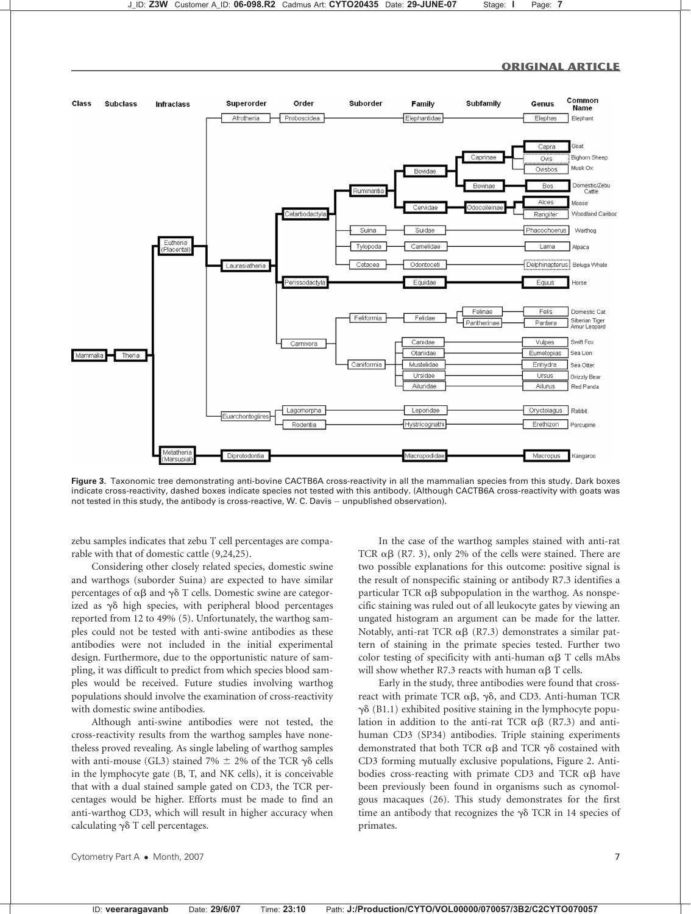

Figure 3. Taxonomic tree demonstrating anti-bovine CACTB6A cross-reactivity in all the mammalian species from this study. Dark boxes indicate cross-reactivity, dashed boxes indicate species not tested with this antibody. (Although CACTB6A cross-reactivity with goats was not tested in this study, the antibody is cross-reactive, W. C. Davis - unpublished observation).

zebu samples indicates that zebu T cell percentages are comparable with that of domestic cattle (9,24,25).

Considering other closely related species, domestic swine and warthogs (suborder Suina) are expected to have similar percentages of  $\alpha\beta$  and  $\gamma\delta$  T cells. Domestic swine are categorized as  $\gamma\delta$  high species, with peripheral blood percentages reported from 12 to 49% (5). Unfortunately, the warthog samples could not be tested with anti-swine antibodies as these antibodies were not included in the initial experimental design. Furthermore, due to the opportunistic nature of sampling, it was difficult to predict from which species blood samples would be received. Future studies involving warthog populations should involve the examination of cross-reactivity with domestic swine antibodies.

Although anti-swine antibodies were not tested, the cross-reactivity results from the warthog samples have nonetheless proved revealing. As single labeling of warthog samples with anti-mouse (GL3) stained 7%  $\pm$  2% of the TCR  $\gamma\delta$  cells in the lymphocyte gate (B, T, and NK cells), it is conceivable that with a dual stained sample gated on CD3, the TCR percentages would be higher. Efforts must be made to find an anti-warthog CD3, which will result in higher accuracy when calculating  $\gamma \delta$  T cell percentages.

In the case of the warthog samples stained with anti-rat TCR  $\alpha\beta$  (R7. 3), only 2% of the cells were stained. There are two possible explanations for this outcome: positive signal is the result of nonspecific staining or antibody R7.3 identifies a particular TCR  $\alpha\beta$  subpopulation in the warthog. As nonspecific staining was ruled out of all leukocyte gates by viewing an ungated histogram an argument can be made for the latter. Notably, anti-rat TCR  $\alpha\beta$  (R7.3) demonstrates a similar pattern of staining in the primate species tested. Further two color testing of specificity with anti-human  $\alpha\beta$  T cells mAbs will show whether R7.3 reacts with human  $\alpha\beta$  T cells.

Early in the study, three antibodies were found that crossreact with primate TCR  $\alpha\beta$ ,  $\gamma\delta$ , and CD3. Anti-human TCR  $\gamma\delta$  (B1.1) exhibited positive staining in the lymphocyte population in addition to the anti-rat TCR  $\alpha\beta$  (R7.3) and antihuman CD3 (SP34) antibodies. Triple staining experiments demonstrated that both TCR  $\alpha\beta$  and TCR  $\gamma\delta$  costained with CD3 forming mutually exclusive populations, Figure 2. Antibodies cross-reacting with primate CD3 and TCR  $\alpha\beta$  have been previously been found in organisms such as cynomolgous macaques (26). This study demonstrates for the first time an antibody that recognizes the  $\gamma\delta$  TCR in 14 species of primates.

Cytometry Part A • Month, 2007 7 7 2007 7 2008 7 2009 7 2009 7 2009 7 2009 7 2009 7 2009 7 2009 7 2009 7 2009 7 2009 7 2009 7 2009 7 2009 7 2009 7 2009 7 2009 7 2009 7 2009 7 2009 7 2009 7 2009 7 2009 7 2009 7 2009 7 2009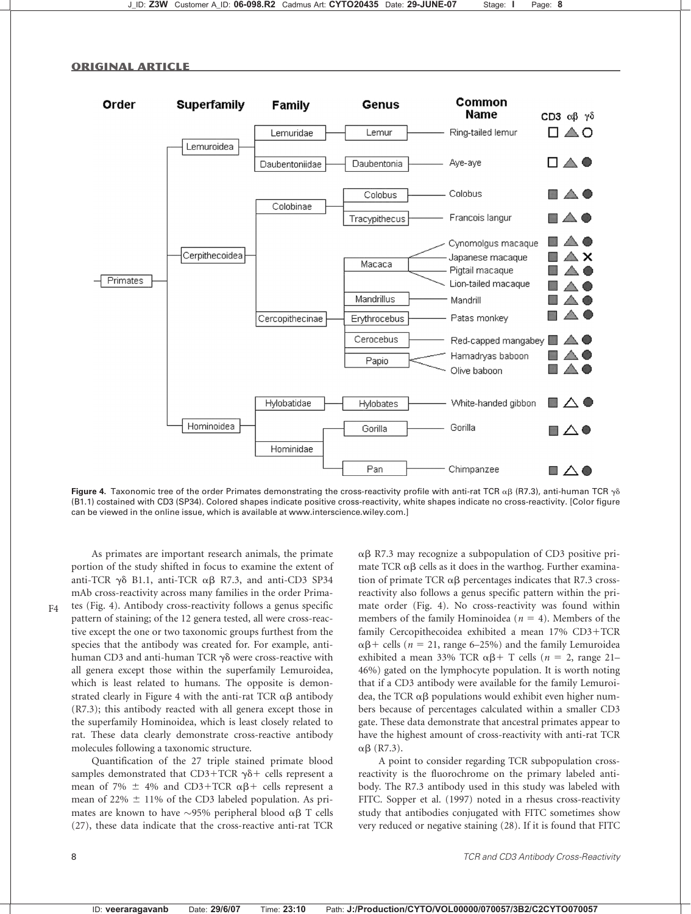



Figure 4. Taxonomic tree of the order Primates demonstrating the cross-reactivity profile with anti-rat TCR  $\alpha\beta$  (R7.3), anti-human TCR  $\gamma\delta$ (B1.1) costained with CD3 (SP34). Colored shapes indicate positive cross-reactivity, white shapes indicate no cross-reactivity. [Color figure can be viewed in the online issue, which is available at www.interscience.wiley.com.]

As primates are important research animals, the primate portion of the study shifted in focus to examine the extent of anti-TCR  $\gamma\delta$  B1.1, anti-TCR  $\alpha\beta$  R7.3, and anti-CD3 SP34 mAb cross-reactivity across many families in the order Prima- $F4$  tes (Fig. 4). Antibody cross-reactivity follows a genus specific pattern of staining; of the 12 genera tested, all were cross-reactive except the one or two taxonomic groups furthest from the species that the antibody was created for. For example, antihuman CD3 and anti-human TCR  $\gamma\delta$  were cross-reactive with all genera except those within the superfamily Lemuroidea, which is least related to humans. The opposite is demonstrated clearly in Figure 4 with the anti-rat TCR  $\alpha\beta$  antibody (R7.3); this antibody reacted with all genera except those in the superfamily Hominoidea, which is least closely related to rat. These data clearly demonstrate cross-reactive antibody molecules following a taxonomic structure.

Quantification of the 27 triple stained primate blood samples demonstrated that CD3+TCR  $\gamma\delta$ + cells represent a mean of 7%  $\pm$  4% and CD3+TCR  $\alpha\beta$ + cells represent a mean of 22%  $\pm$  11% of the CD3 labeled population. As primates are known to have  $\sim$ 95% peripheral blood  $\alpha\beta$  T cells (27), these data indicate that the cross-reactive anti-rat TCR

 $\alpha\beta$  R7.3 may recognize a subpopulation of CD3 positive primate TCR  $\alpha\beta$  cells as it does in the warthog. Further examination of primate TCR  $\alpha\beta$  percentages indicates that R7.3 crossreactivity also follows a genus specific pattern within the primate order (Fig. 4). No cross-reactivity was found within members of the family Hominoidea ( $n = 4$ ). Members of the family Cercopithecoidea exhibited a mean 17% CD3+TCR  $\alpha\beta$ + cells (*n* = 21, range 6–25%) and the family Lemuroidea exhibited a mean 33% TCR  $\alpha\beta$ + T cells (*n* = 2, range 21– 46%) gated on the lymphocyte population. It is worth noting that if a CD3 antibody were available for the family Lemuroidea, the TCR  $\alpha\beta$  populations would exhibit even higher numbers because of percentages calculated within a smaller CD3 gate. These data demonstrate that ancestral primates appear to have the highest amount of cross-reactivity with anti-rat TCR  $\alpha\beta$  (R7.3).

A point to consider regarding TCR subpopulation crossreactivity is the fluorochrome on the primary labeled antibody. The R7.3 antibody used in this study was labeled with FITC. Sopper et al. (1997) noted in a rhesus cross-reactivity study that antibodies conjugated with FITC sometimes show very reduced or negative staining (28). If it is found that FITC